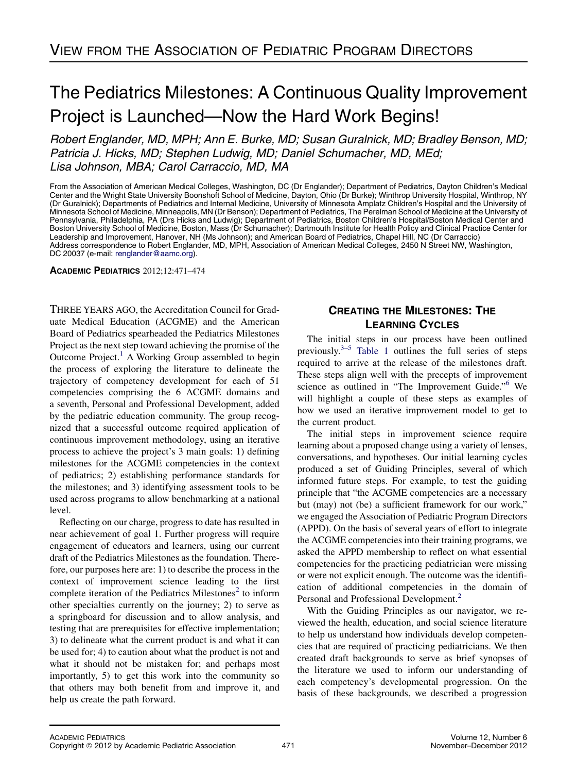### The Pediatrics Milestones: A Continuous Quality Improvement Project is Launched—Now the Hard Work Begins!

Robert Englander, MD, MPH; Ann E. Burke, MD; Susan Guralnick, MD; Bradley Benson, MD; Patricia J. Hicks, MD; Stephen Ludwig, MD; Daniel Schumacher, MD, MEd; Lisa Johnson, MBA; Carol Carraccio, MD, MA

From the Association of American Medical Colleges, Washington, DC (Dr Englander); Department of Pediatrics, Dayton Children's Medical Center and the Wright State University Boonshoft School of Medicine, Dayton, Ohio (Dr Burke); Winthrop University Hospital, Winthrop, NY (Dr Guralnick); Departments of Pediatrics and Internal Medicine, University of Minnesota Amplatz Children's Hospital and the University of Minnesota School of Medicine, Minneapolis, MN (Dr Benson); Department of Pediatrics, The Perelman School of Medicine at the University of Pennsylvania, Philadelphia, PA (Drs Hicks and Ludwig); Department of Pediatrics, Boston Children's Hospital/Boston Medical Center and Boston University School of Medicine, Boston, Mass (Dr Schumacher); Dartmouth Institute for Health Policy and Clinical Practice Center for Leadership and Improvement, Hanover, NH (Ms Johnson); and American Board of Pediatrics, Chapel Hill, NC (Dr Carraccio) Address correspondence to Robert Englander, MD, MPH, Association of American Medical Colleges, 2450 N Street NW, Washington, DC 20037 (e-mail: [renglander@aamc.org\)](mailto:renglander@aamc.org).

ACADEMIC PEDIATRICS 2012;12:471–474

THREE YEARS AGO, the Accreditation Council for Graduate Medical Education (ACGME) and the American Board of Pediatrics spearheaded the Pediatrics Milestones Project as the next step toward achieving the promise of the Outcome Project.<sup>[1](#page-3-0)</sup> A Working Group assembled to begin the process of exploring the literature to delineate the trajectory of competency development for each of 51 competencies comprising the 6 ACGME domains and a seventh, Personal and Professional Development, added by the pediatric education community. The group recognized that a successful outcome required application of continuous improvement methodology, using an iterative process to achieve the project's 3 main goals: 1) defining milestones for the ACGME competencies in the context of pediatrics; 2) establishing performance standards for the milestones; and 3) identifying assessment tools to be used across programs to allow benchmarking at a national level.

Reflecting on our charge, progress to date has resulted in near achievement of goal 1. Further progress will require engagement of educators and learners, using our current draft of the Pediatrics Milestones as the foundation. Therefore, our purposes here are: 1) to describe the process in the context of improvement science leading to the first complete iteration of the Pediatrics Milestones<sup>[2](#page-3-0)</sup> to inform other specialties currently on the journey; 2) to serve as a springboard for discussion and to allow analysis, and testing that are prerequisites for effective implementation; 3) to delineate what the current product is and what it can be used for; 4) to caution about what the product is not and what it should not be mistaken for; and perhaps most importantly, 5) to get this work into the community so that others may both benefit from and improve it, and help us create the path forward.

## **CREATING THE MILESTONES: THE**<br>LEARNING CYCLES

The initial steps in our process have been outlined previously. $3-5$  [Table 1](#page-1-0) outlines the full series of steps required to arrive at the release of the milestones draft. These steps align well with the precepts of improvement science as outlined in "The Improvement Guide."<sup>[6](#page-3-0)</sup> We will highlight a couple of these steps as examples of how we used an iterative improvement model to get to the current product.

The initial steps in improvement science require learning about a proposed change using a variety of lenses, conversations, and hypotheses. Our initial learning cycles produced a set of Guiding Principles, several of which informed future steps. For example, to test the guiding principle that "the ACGME competencies are a necessary but (may) not (be) a sufficient framework for our work," we engaged the Association of Pediatric Program Directors (APPD). On the basis of several years of effort to integrate the ACGME competencies into their training programs, we asked the APPD membership to reflect on what essential competencies for the practicing pediatrician were missing or were not explicit enough. The outcome was the identification of additional competencies in the domain of Personal and Professional Development.<sup>[2](#page-3-0)</sup>

With the Guiding Principles as our navigator, we reviewed the health, education, and social science literature to help us understand how individuals develop competencies that are required of practicing pediatricians. We then created draft backgrounds to serve as brief synopses of the literature we used to inform our understanding of each competency's developmental progression. On the basis of these backgrounds, we described a progression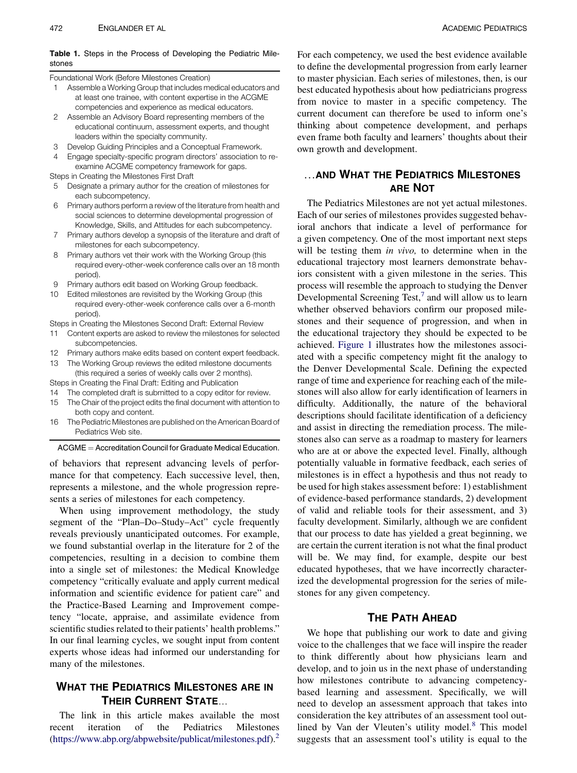#### <span id="page-1-0"></span>Table 1. Steps in the Process of Developing the Pediatric Milestones

Foundational Work (Before Milestones Creation)

- 1 Assemble a Working Group that includes medical educators and at least one trainee, with content expertise in the ACGME competencies and experience as medical educators.
- 2 Assemble an Advisory Board representing members of the educational continuum, assessment experts, and thought leaders within the specialty community.
- 3 Develop Guiding Principles and a Conceptual Framework.
- 4 Engage specialty-specific program directors' association to reexamine ACGME competency framework for gaps.
- Steps in Creating the Milestones First Draft
- 5 Designate a primary author for the creation of milestones for each subcompetency.
- 6 Primary authors perform a review of the literature from health and social sciences to determine developmental progression of Knowledge, Skills, and Attitudes for each subcompetency.
- 7 Primary authors develop a synopsis of the literature and draft of milestones for each subcompetency.
- 8 Primary authors vet their work with the Working Group (this required every-other-week conference calls over an 18 month period).
- 9 Primary authors edit based on Working Group feedback.
- 10 Edited milestones are revisited by the Working Group (this required every-other-week conference calls over a 6-month period).
- Steps in Creating the Milestones Second Draft: External Review
- 11 Content experts are asked to review the milestones for selected subcompetencies.
- 12 Primary authors make edits based on content expert feedback.
- 13 The Working Group reviews the edited milestone documents (this required a series of weekly calls over 2 months).
- Steps in Creating the Final Draft: Editing and Publication
- 14 The completed draft is submitted to a copy editor for review.
- 15 The Chair of the project edits the final document with attention to both copy and content.
- 16 The Pediatric Milestones are published on the American Board of Pediatrics Web site.

 $ACGME = Accreditation Council for Graduate Medical Education.$ 

of behaviors that represent advancing levels of performance for that competency. Each successive level, then, represents a milestone, and the whole progression represents a series of milestones for each competency.

When using improvement methodology, the study segment of the "Plan–Do–Study–Act" cycle frequently reveals previously unanticipated outcomes. For example, we found substantial overlap in the literature for 2 of the competencies, resulting in a decision to combine them into a single set of milestones: the Medical Knowledge competency "critically evaluate and apply current medical information and scientific evidence for patient care" and the Practice-Based Learning and Improvement competency "locate, appraise, and assimilate evidence from scientific studies related to their patients' health problems." In our final learning cycles, we sought input from content experts whose ideas had informed our understanding for many of the milestones.

# THEIR CURRENT STATE...<br>The link in this article makes available the mo-

The link in this article makes available the most recent iteration of the Pediatrics Milestones ([https://www.abp.org/abpwebsite/publicat/milestones.pdf\)](https://www.abp.org/abpwebsite/publicat/milestones.pdf).[2](#page-3-0)

For each competency, we used the best evidence available to define the developmental progression from early learner to master physician. Each series of milestones, then, is our best educated hypothesis about how pediatricians progress from novice to master in a specific competency. The current document can therefore be used to inform one's thinking about competence development, and perhaps even frame both faculty and learners' thoughts about their own growth and development.

### ...AND WHAT THE PEDIATRICS MILESTONES...<br>ARE NOT

The Pediatrics Milestones are not yet actual milestones. Each of our series of milestones provides suggested behavioral anchors that indicate a level of performance for a given competency. One of the most important next steps will be testing them *in vivo*, to determine when in the educational trajectory most learners demonstrate behaviors consistent with a given milestone in the series. This process will resemble the approach to studying the Denver Developmental Screening Test, $^7$  $^7$  and will allow us to learn whether observed behaviors confirm our proposed milestones and their sequence of progression, and when in the educational trajectory they should be expected to be achieved. [Figure 1](#page-2-0) illustrates how the milestones associated with a specific competency might fit the analogy to the Denver Developmental Scale. Defining the expected range of time and experience for reaching each of the milestones will also allow for early identification of learners in difficulty. Additionally, the nature of the behavioral descriptions should facilitate identification of a deficiency and assist in directing the remediation process. The milestones also can serve as a roadmap to mastery for learners who are at or above the expected level. Finally, although potentially valuable in formative feedback, each series of milestones is in effect a hypothesis and thus not ready to be used for high stakes assessment before: 1) establishment of evidence-based performance standards, 2) development of valid and reliable tools for their assessment, and 3) faculty development. Similarly, although we are confident that our process to date has yielded a great beginning, we are certain the current iteration is not what the final product will be. We may find, for example, despite our best educated hypotheses, that we have incorrectly characterized the developmental progression for the series of milestones for any given competency.

We hope that publishing our work to date and giving voice to the challenges that we face will inspire the reader to think differently about how physicians learn and develop, and to join us in the next phase of understanding how milestones contribute to advancing competencybased learning and assessment. Specifically, we will need to develop an assessment approach that takes into consideration the key attributes of an assessment tool out-lined by Van der Vleuten's utility model.<sup>[8](#page-3-0)</sup> This model suggests that an assessment tool's utility is equal to the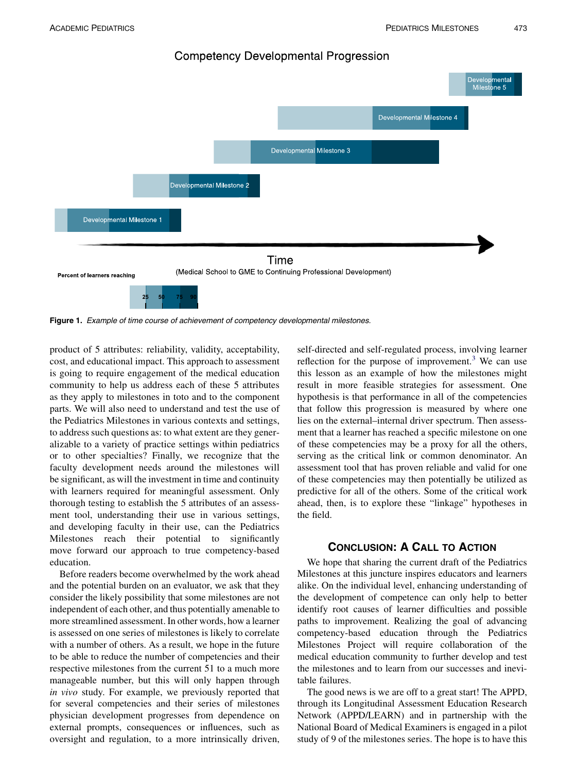### **Competency Developmental Progression**

<span id="page-2-0"></span>

Figure 1. Example of time course of achievement of competency developmental milestones.

product of 5 attributes: reliability, validity, acceptability, cost, and educational impact. This approach to assessment is going to require engagement of the medical education community to help us address each of these 5 attributes as they apply to milestones in toto and to the component parts. We will also need to understand and test the use of the Pediatrics Milestones in various contexts and settings, to address such questions as: to what extent are they generalizable to a variety of practice settings within pediatrics or to other specialties? Finally, we recognize that the faculty development needs around the milestones will be significant, as will the investment in time and continuity with learners required for meaningful assessment. Only thorough testing to establish the 5 attributes of an assessment tool, understanding their use in various settings, and developing faculty in their use, can the Pediatrics Milestones reach their potential to significantly move forward our approach to true competency-based education.

Before readers become overwhelmed by the work ahead and the potential burden on an evaluator, we ask that they consider the likely possibility that some milestones are not independent of each other, and thus potentially amenable to more streamlined assessment. In other words, how a learner is assessed on one series of milestones is likely to correlate with a number of others. As a result, we hope in the future to be able to reduce the number of competencies and their respective milestones from the current 51 to a much more manageable number, but this will only happen through in vivo study. For example, we previously reported that for several competencies and their series of milestones physician development progresses from dependence on external prompts, consequences or influences, such as oversight and regulation, to a more intrinsically driven,

self-directed and self-regulated process, involving learner reflection for the purpose of improvement.<sup>[3](#page-3-0)</sup> We can use this lesson as an example of how the milestones might result in more feasible strategies for assessment. One hypothesis is that performance in all of the competencies that follow this progression is measured by where one lies on the external–internal driver spectrum. Then assessment that a learner has reached a specific milestone on one of these competencies may be a proxy for all the others, serving as the critical link or common denominator. An assessment tool that has proven reliable and valid for one of these competencies may then potentially be utilized as predictive for all of the others. Some of the critical work ahead, then, is to explore these "linkage" hypotheses in the field.

### **CONCLUSION: A CALL TO ACTION**

We hope that sharing the current draft of the Pediatrics Milestones at this juncture inspires educators and learners alike. On the individual level, enhancing understanding of the development of competence can only help to better identify root causes of learner difficulties and possible paths to improvement. Realizing the goal of advancing competency-based education through the Pediatrics Milestones Project will require collaboration of the medical education community to further develop and test the milestones and to learn from our successes and inevitable failures.

The good news is we are off to a great start! The APPD, through its Longitudinal Assessment Education Research Network (APPD/LEARN) and in partnership with the National Board of Medical Examiners is engaged in a pilot study of 9 of the milestones series. The hope is to have this